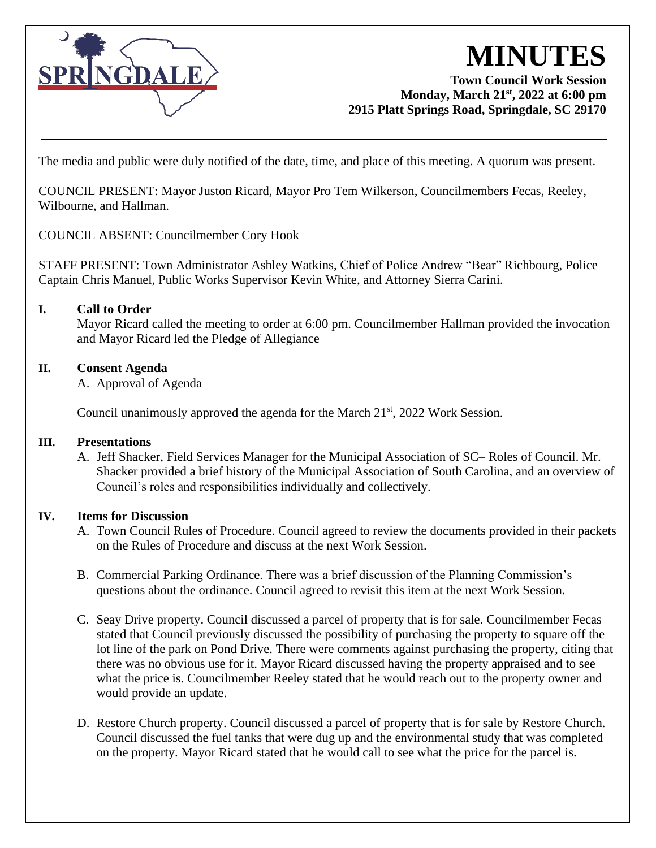

# **MINUTES**

## **Town Council Work Session Monday, March 21 st, 2022 at 6:00 pm 2915 Platt Springs Road, Springdale, SC 29170**

The media and public were duly notified of the date, time, and place of this meeting. A quorum was present.

COUNCIL PRESENT: Mayor Juston Ricard, Mayor Pro Tem Wilkerson, Councilmembers Fecas, Reeley, Wilbourne, and Hallman.

COUNCIL ABSENT: Councilmember Cory Hook

STAFF PRESENT: Town Administrator Ashley Watkins, Chief of Police Andrew "Bear" Richbourg, Police Captain Chris Manuel, Public Works Supervisor Kevin White, and Attorney Sierra Carini.

## **I. Call to Order**

Mayor Ricard called the meeting to order at 6:00 pm. Councilmember Hallman provided the invocation and Mayor Ricard led the Pledge of Allegiance

### **II. Consent Agenda**

A. Approval of Agenda

Council unanimously approved the agenda for the March  $21<sup>st</sup>$ , 2022 Work Session.

### **III. Presentations**

A. Jeff Shacker, Field Services Manager for the Municipal Association of SC– Roles of Council. Mr. Shacker provided a brief history of the Municipal Association of South Carolina, and an overview of Council's roles and responsibilities individually and collectively.

### **IV. Items for Discussion**

- A. Town Council Rules of Procedure. Council agreed to review the documents provided in their packets on the Rules of Procedure and discuss at the next Work Session.
- B. Commercial Parking Ordinance. There was a brief discussion of the Planning Commission's questions about the ordinance. Council agreed to revisit this item at the next Work Session.
- C. Seay Drive property. Council discussed a parcel of property that is for sale. Councilmember Fecas stated that Council previously discussed the possibility of purchasing the property to square off the lot line of the park on Pond Drive. There were comments against purchasing the property, citing that there was no obvious use for it. Mayor Ricard discussed having the property appraised and to see what the price is. Councilmember Reeley stated that he would reach out to the property owner and would provide an update.
- D. Restore Church property. Council discussed a parcel of property that is for sale by Restore Church. Council discussed the fuel tanks that were dug up and the environmental study that was completed on the property. Mayor Ricard stated that he would call to see what the price for the parcel is.